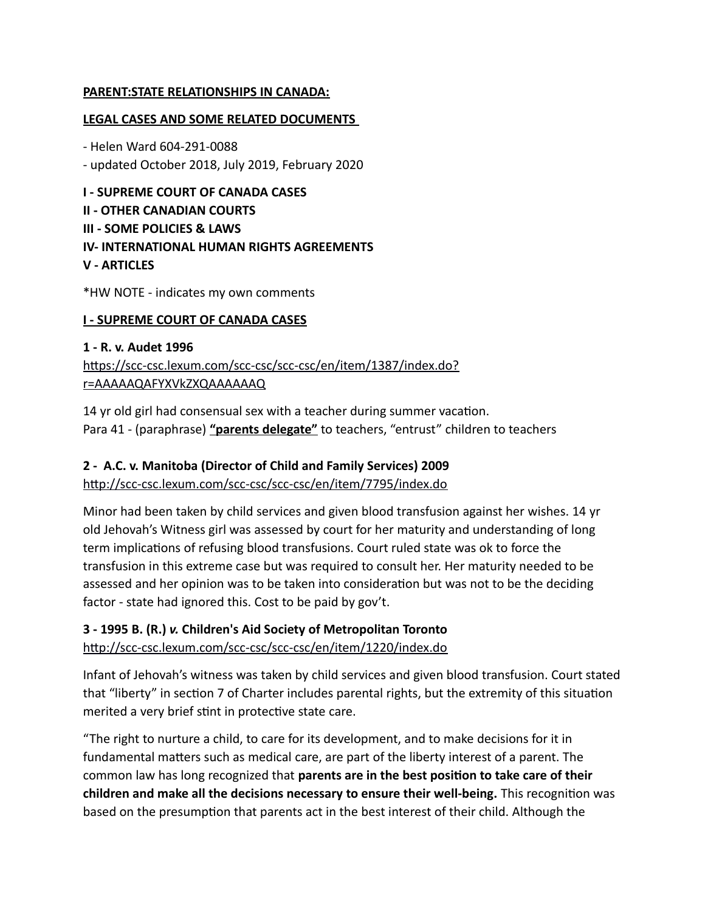#### **PARENT:STATE RELATIONSHIPS IN CANADA:**

#### **LEGAL CASES AND SOME RELATED DOCUMENTS**

- Helen Ward 604-291-0088 - updated October 2018, July 2019, February 2020

**I - SUPREME COURT OF CANADA CASES II - OTHER CANADIAN COURTS III - SOME POLICIES & LAWS IV- INTERNATIONAL HUMAN RIGHTS AGREEMENTS V - ARTICLES** 

\*HW NOTE - indicates my own comments

#### **I - SUPREME COURT OF CANADA CASES**

# **1 - R. v. Audet 1996** [https://scc-csc.lexum.com/scc-csc/scc-csc/en/item/1387/index.do?](https://scc-csc.lexum.com/scc-csc/scc-csc/en/item/1387/index.do?r=AAAAAQAFYXVkZXQAAAAAAQ) [r=AAAAAQAFYXVkZXQAAAAAAQ](https://scc-csc.lexum.com/scc-csc/scc-csc/en/item/1387/index.do?r=AAAAAQAFYXVkZXQAAAAAAQ)

14 yr old girl had consensual sex with a teacher during summer vacation. Para 41 - (paraphrase) **"parents delegate"** to teachers, "entrust" children to teachers

#### **2 - A.C. v. Manitoba (Director of Child and Family Services) 2009**

<http://scc-csc.lexum.com/scc-csc/scc-csc/en/item/7795/index.do>

Minor had been taken by child services and given blood transfusion against her wishes. 14 yr old Jehovah's Witness girl was assessed by court for her maturity and understanding of long term implications of refusing blood transfusions. Court ruled state was ok to force the transfusion in this extreme case but was required to consult her. Her maturity needed to be assessed and her opinion was to be taken into consideration but was not to be the deciding factor - state had ignored this. Cost to be paid by gov't.

# **3 - 1995 B. (R.)** *v.* **Children's Aid Society of Metropolitan Toronto**

<http://scc-csc.lexum.com/scc-csc/scc-csc/en/item/1220/index.do>

Infant of Jehovah's witness was taken by child services and given blood transfusion. Court stated that "liberty" in section 7 of Charter includes parental rights, but the extremity of this situation merited a very brief stint in protective state care.

"The right to nurture a child, to care for its development, and to make decisions for it in fundamental matters such as medical care, are part of the liberty interest of a parent. The common law has long recognized that **parents are in the best position to take care of their children and make all the decisions necessary to ensure their well-being.** This recognition was based on the presumption that parents act in the best interest of their child. Although the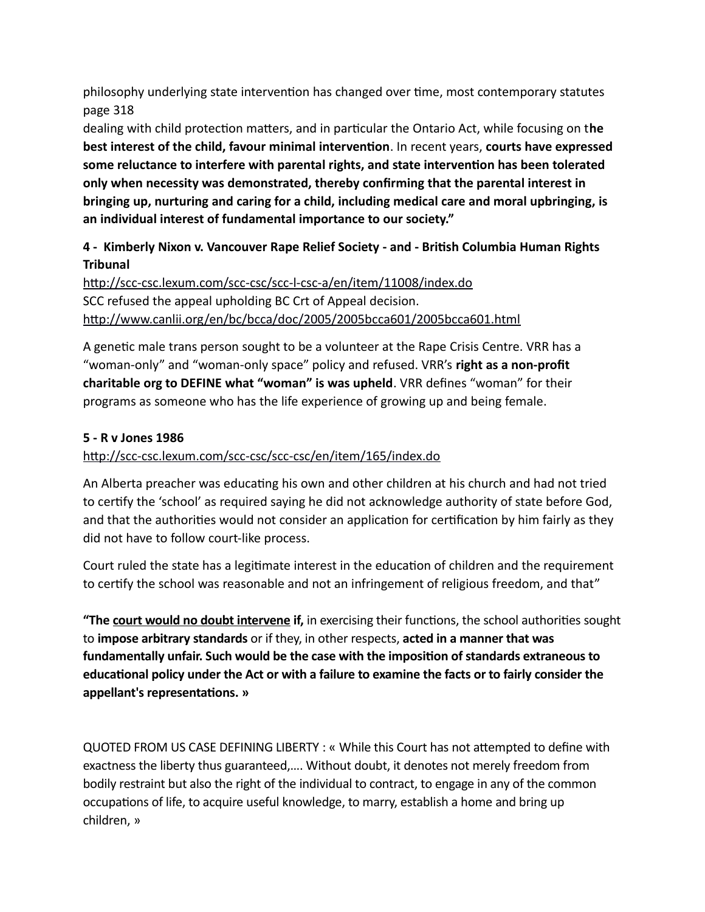philosophy underlying state intervention has changed over time, most contemporary statutes page 318

dealing with child protection matters, and in particular the Ontario Act, while focusing on t**he best interest of the child, favour minimal intervention**. In recent years, **courts have expressed some reluctance to interfere with parental rights, and state intervention has been tolerated only when necessity was demonstrated, thereby confirming that the parental interest in bringing up, nurturing and caring for a child, including medical care and moral upbringing, is an individual interest of fundamental importance to our society."**

# **4 - Kimberly Nixon v. Vancouver Rape Relief Society - and - British Columbia Human Rights Tribunal**

<http://scc-csc.lexum.com/scc-csc/scc-l-csc-a/en/item/11008/index.do> SCC refused the appeal upholding BC Crt of Appeal decision. <http://www.canlii.org/en/bc/bcca/doc/2005/2005bcca601/2005bcca601.html>

A genetic male trans person sought to be a volunteer at the Rape Crisis Centre. VRR has a "woman-only" and "woman-only space" policy and refused. VRR's **right as a non-profit charitable org to DEFINE what "woman" is was upheld**. VRR defines "woman" for their programs as someone who has the life experience of growing up and being female.

#### **5 - R v Jones 1986**

#### <http://scc-csc.lexum.com/scc-csc/scc-csc/en/item/165/index.do>

An Alberta preacher was educating his own and other children at his church and had not tried to certify the 'school' as required saying he did not acknowledge authority of state before God, and that the authorities would not consider an application for certification by him fairly as they did not have to follow court-like process.

Court ruled the state has a legitimate interest in the education of children and the requirement to certify the school was reasonable and not an infringement of religious freedom, and that"

**"The court would no doubt intervene if,** in exercising their functions, the school authorities sought to **impose arbitrary standards** or if they, in other respects, **acted in a manner that was fundamentally unfair. Such would be the case with the imposition of standards extraneous to educational policy under the Act or with a failure to examine the facts or to fairly consider the appellant's representations. »**

QUOTED FROM US CASE DEFINING LIBERTY : « While this Court has not attempted to define with exactness the liberty thus guaranteed,…. Without doubt, it denotes not merely freedom from bodily restraint but also the right of the individual to contract, to engage in any of the common occupations of life, to acquire useful knowledge, to marry, establish a home and bring up children, »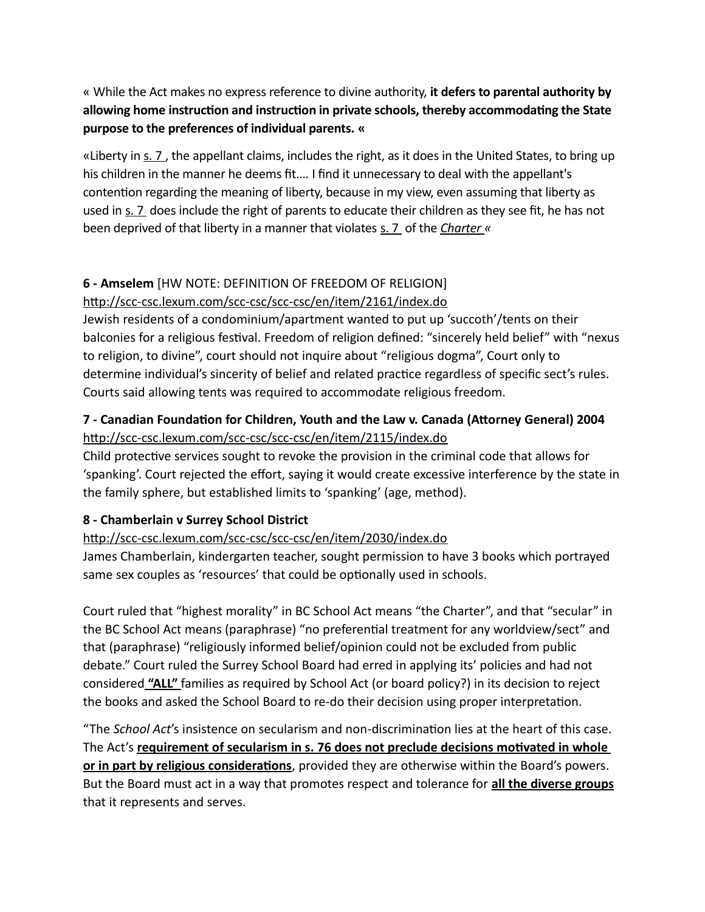« While the Act makes no express reference to divine authority, **it defers to parental authority by allowing home instruction and instruction in private schools, thereby accommodating the State purpose to the preferences of individual parents. «**

«Liberty in [s. 7](https://zoupio.lexum.com/calegis/schedule-b-to-the-canada-act-1982-uk-1982-c-11-en#!fragment/sec7) , the appellant claims, includes the right, as it does in the United States, to bring up his children in the manner he deems fit…. I find it unnecessary to deal with the appellant's contention regarding the meaning of liberty, because in my view, even assuming that liberty as used in [s. 7](https://zoupio.lexum.com/calegis/schedule-b-to-the-canada-act-1982-uk-1982-c-11-en#!fragment/sec7) does include the right of parents to educate their children as they see fit, he has not been deprived of that liberty in a manner that violates [s. 7](https://zoupio.lexum.com/calegis/schedule-b-to-the-canada-act-1982-uk-1982-c-11-en#!fragment/sec7) of the *[Charter](https://zoupio.lexum.com/calegis/schedule-b-to-the-canada-act-1982-uk-1982-c-11-en) «*

### **6 - Amselem** [HW NOTE: DEFINITION OF FREEDOM OF RELIGION]

#### <http://scc-csc.lexum.com/scc-csc/scc-csc/en/item/2161/index.do>

Jewish residents of a condominium/apartment wanted to put up 'succoth'/tents on their balconies for a religious festival. Freedom of religion defined: "sincerely held belief" with "nexus to religion, to divine", court should not inquire about "religious dogma", Court only to determine individual's sincerity of belief and related practice regardless of specific sect's rules. Courts said allowing tents was required to accommodate religious freedom.

# **7 - Canadian Foundation for Children, Youth and the Law v. Canada (Attorney General) 2004** <http://scc-csc.lexum.com/scc-csc/scc-csc/en/item/2115/index.do>

Child protective services sought to revoke the provision in the criminal code that allows for 'spanking'. Court rejected the effort, saying it would create excessive interference by the state in the family sphere, but established limits to 'spanking' (age, method).

#### **8 - Chamberlain v Surrey School District**

#### <http://scc-csc.lexum.com/scc-csc/scc-csc/en/item/2030/index.do>

James Chamberlain, kindergarten teacher, sought permission to have 3 books which portrayed same sex couples as 'resources' that could be optionally used in schools.

Court ruled that "highest morality" in BC School Act means "the Charter", and that "secular" in the BC School Act means (paraphrase) "no preferential treatment for any worldview/sect" and that (paraphrase) "religiously informed belief/opinion could not be excluded from public debate." Court ruled the Surrey School Board had erred in applying its' policies and had not considered **"ALL"** families as required by School Act (or board policy?) in its decision to reject the books and asked the School Board to re-do their decision using proper interpretation.

"The *School Act*'s insistence on secularism and non-discrimination lies at the heart of this case. The Act's **requirement of secularism in s. 76 does not preclude decisions motivated in whole or in part by religious considerations**, provided they are otherwise within the Board's powers. But the Board must act in a way that promotes respect and tolerance for **all the diverse groups** that it represents and serves.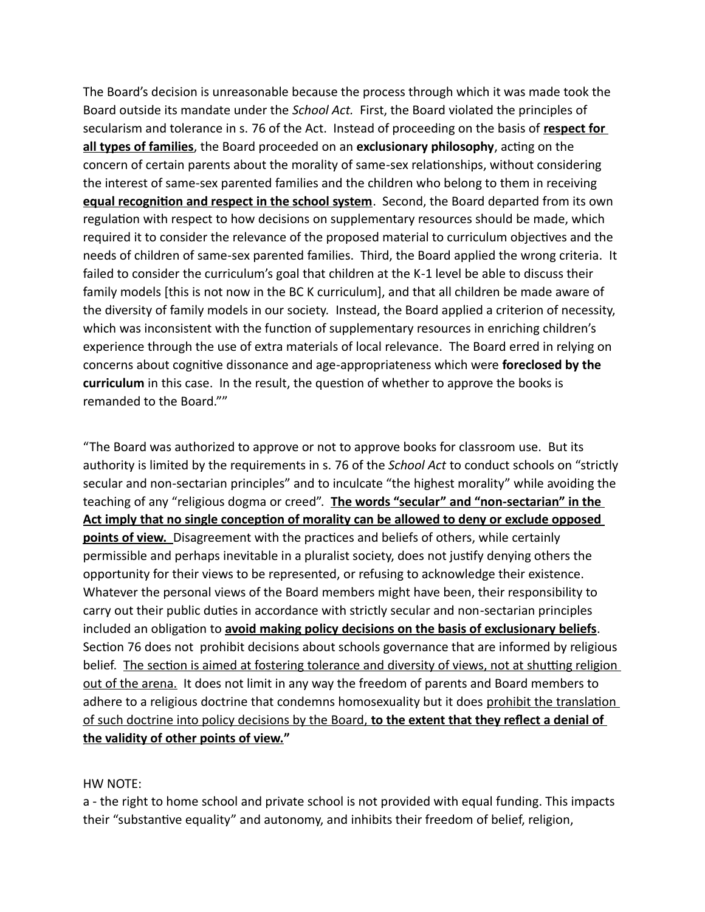The Board's decision is unreasonable because the process through which it was made took the Board outside its mandate under the *School Act.* First, the Board violated the principles of secularism and tolerance in s. 76 of the Act. Instead of proceeding on the basis of **respect for all types of families**, the Board proceeded on an **exclusionary philosophy**, acting on the concern of certain parents about the morality of same-sex relationships, without considering the interest of same-sex parented families and the children who belong to them in receiving **equal recognition and respect in the school system**. Second, the Board departed from its own regulation with respect to how decisions on supplementary resources should be made, which required it to consider the relevance of the proposed material to curriculum objectives and the needs of children of same-sex parented families. Third, the Board applied the wrong criteria. It failed to consider the curriculum's goal that children at the K-1 level be able to discuss their family models [this is not now in the BC K curriculum], and that all children be made aware of the diversity of family models in our society. Instead, the Board applied a criterion of necessity, which was inconsistent with the function of supplementary resources in enriching children's experience through the use of extra materials of local relevance. The Board erred in relying on concerns about cognitive dissonance and age-appropriateness which were **foreclosed by the curriculum** in this case. In the result, the question of whether to approve the books is remanded to the Board.""

"The Board was authorized to approve or not to approve books for classroom use. But its authority is limited by the requirements in s. 76 of the *School Act* to conduct schools on "strictly secular and non-sectarian principles" and to inculcate "the highest morality" while avoiding the teaching of any "religious dogma or creed". **The words "secular" and "non - sectarian" in the Act imply that no single conception of morality can be allowed to deny or exclude opposed points of view.** Disagreement with the practices and beliefs of others, while certainly permissible and perhaps inevitable in a pluralist society, does not justify denying others the opportunity for their views to be represented, or refusing to acknowledge their existence. Whatever the personal views of the Board members might have been, their responsibility to carry out their public duties in accordance with strictly secular and non-sectarian principles included an obligation to **avoid making policy decisions on the basis of exclusionary beliefs**. Section 76 does not prohibit decisions about schools governance that are informed by religious belief. The section is aimed at fostering tolerance and diversity of views, not at shutting religion out of the arena. It does not limit in any way the freedom of parents and Board members to adhere to a religious doctrine that condemns homosexuality but it does prohibit the translation of such doctrine into policy decisions by the Board, **to the extent that they reflect a denial of the validity of other points of view."**

#### HW NOTE:

a - the right to home school and private school is not provided with equal funding. This impacts their "substantive equality" and autonomy, and inhibits their freedom of belief, religion,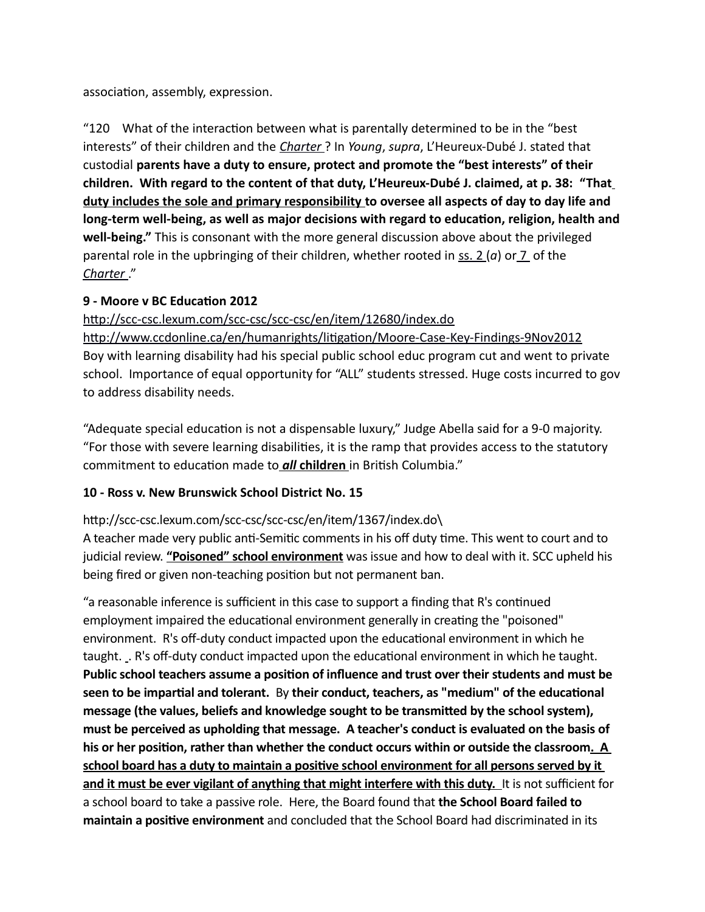association, assembly, expression.

"120 What of the interaction between what is parentally determined to be in the "best interests" of their children and the *[Charter](https://zoupio.lexum.com/calegis/schedule-b-to-the-canada-act-1982-uk-1982-c-11-en)* ? In *Young*, *supra*, L'Heureux-Dubé J. stated that custodial **parents have a duty to ensure, protect and promote the "best interests" of their children. With regard to the content of that duty, L'Heureux-Dubé J. claimed, at p. 38: "That duty includes the sole and primary responsibility to oversee all aspects of day to day life and long-term well-being, as well as major decisions with regard to education, religion, health and well-being."** This is consonant with the more general discussion above about the privileged parental role in the upbringing of their children, whether rooted in [ss. 2](https://zoupio.lexum.com/calegis/schedule-b-to-the-canada-act-1982-uk-1982-c-11-en#!fragment/sec2) (*a*) o[r 7](https://zoupio.lexum.com/calegis/schedule-b-to-the-canada-act-1982-uk-1982-c-11-en#!fragment/sec7) of the  *[Charter](https://zoupio.lexum.com/calegis/schedule-b-to-the-canada-act-1982-uk-1982-c-11-en)* ."

### **9 - Moore v BC Education 2012**

<http://scc-csc.lexum.com/scc-csc/scc-csc/en/item/12680/index.do>

<http://www.ccdonline.ca/en/humanrights/litigation/Moore-Case-Key-Findings-9Nov2012> Boy with learning disability had his special public school educ program cut and went to private school. Importance of equal opportunity for "ALL" students stressed. Huge costs incurred to gov to address disability needs.

"Adequate special education is not a dispensable luxury," Judge Abella said for a 9-0 majority. "For those with severe learning disabilities, it is the ramp that provides access to the statutory commitment to education made to*all* **children** in British Columbia."

# **10 - Ross v. New Brunswick School District No. 15**

#### http://scc-csc.lexum.com/scc-csc/scc-csc/en/item/1367/index.do\

A teacher made very public anti-Semitic comments in his off duty time. This went to court and to judicial review. **"Poisoned" school environment** was issue and how to deal with it. SCC upheld his being fired or given non-teaching position but not permanent ban.

"a reasonable inference is sufficient in this case to support a finding that R's continued employment impaired the educational environment generally in creating the "poisoned" environment. R's off-duty conduct impacted upon the educational environment in which he taught. . R's off-duty conduct impacted upon the educational environment in which he taught. **Public school teachers assume a position of influence and trust over their students and must be seen to be impartial and tolerant.** By **their conduct, teachers, as "medium" of the educational message (the values, beliefs and knowledge sought to be transmitted by the school system), must be perceived as upholding that message. A teacher's conduct is evaluated on the basis of**  his or her position, rather than whether the conduct occurs within or outside the classroom. A **school board has a duty to maintain a positive school environment for all persons served by it and it must be ever vigilant of anything that might interfere with this duty.** It is not sufficient for a school board to take a passive role. Here, the Board found that **the School Board failed to maintain a positive environment** and concluded that the School Board had discriminated in its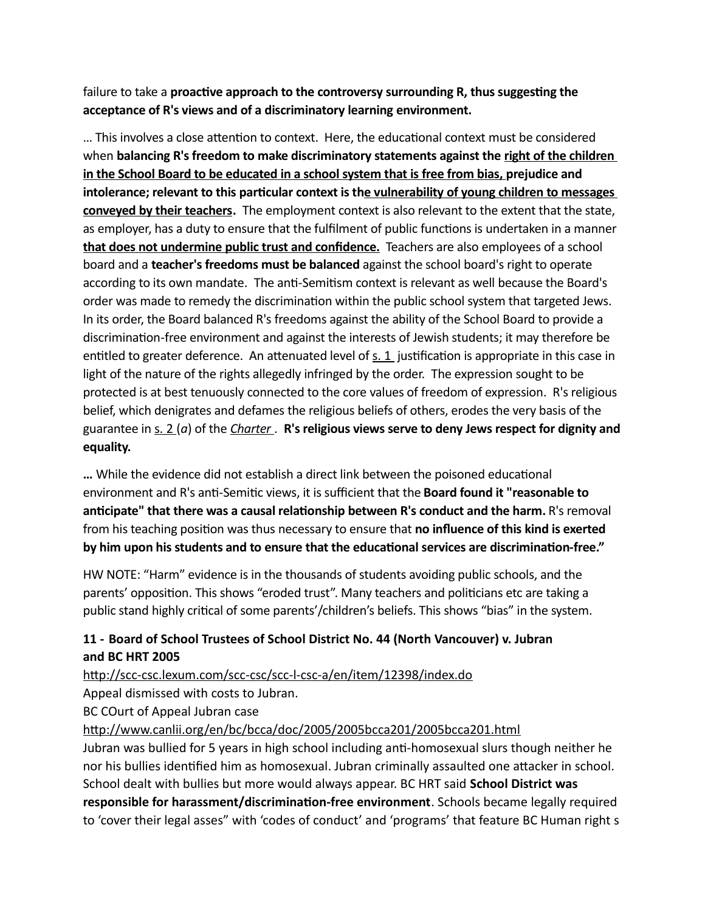failure to take a **proactive approach to the controversy surrounding R, thus suggesting the acceptance of R's views and of a discriminatory learning environment.**

… This involves a close attention to context. Here, the educational context must be considered when **balancing R's freedom to make discriminatory statements against the right of the children in the School Board to be educated in a school system that is free from bias, prejudice and intolerance; relevant to this particular context is the vulnerability of young children to messages conveyed by their teachers.** The employment context is also relevant to the extent that the state, as employer, has a duty to ensure that the fulfilment of public functions is undertaken in a manner **that does not undermine public trust and confidence.** Teachers are also employees of a school board and a **teacher's freedoms must be balanced** against the school board's right to operate according to its own mandate. The anti-Semitism context is relevant as well because the Board's order was made to remedy the discrimination within the public school system that targeted Jews. In its order, the Board balanced R's freedoms against the ability of the School Board to provide a discrimination-free environment and against the interests of Jewish students; it may therefore be entitled to greater deference. An attenuated level of  $s. 1$  justification is appropriate in this case in light of the nature of the rights allegedly infringed by the order. The expression sought to be protected is at best tenuously connected to the core values of freedom of expression. R's religious belief, which denigrates and defames the religious beliefs of others, erodes the very basis of the guarantee in [s. 2](https://zoupio.lexum.com/calegis/schedule-b-to-the-canada-act-1982-uk-1982-c-11-en#!fragment/sec2) (*a*) of the *[Charter](https://zoupio.lexum.com/calegis/schedule-b-to-the-canada-act-1982-uk-1982-c-11-en)* . **R's religious views serve to deny Jews respect for dignity and equality.**

**…** While the evidence did not establish a direct link between the poisoned educational environment and R's anti-Semitic views, it is sufficient that the **Board found it "reasonable to anticipate" that there was a causal relationship between R's conduct and the harm.** R's removal from his teaching position was thus necessary to ensure that **no influence of this kind is exerted by him upon his students and to ensure that the educational services are discrimination-free."**

HW NOTE: "Harm" evidence is in the thousands of students avoiding public schools, and the parents' opposition. This shows "eroded trust". Many teachers and politicians etc are taking a public stand highly critical of some parents'/children's beliefs. This shows "bias" in the system.

### **11 - Board of School Trustees of School District No. 44 (North Vancouver) v. Jubran and BC HRT 2005**

#### <http://scc-csc.lexum.com/scc-csc/scc-l-csc-a/en/item/12398/index.do>

Appeal dismissed with costs to Jubran.

BC COurt of Appeal Jubran case

#### <http://www.canlii.org/en/bc/bcca/doc/2005/2005bcca201/2005bcca201.html>

Jubran was bullied for 5 years in high school including anti-homosexual slurs though neither he nor his bullies identified him as homosexual. Jubran criminally assaulted one attacker in school. School dealt with bullies but more would always appear. BC HRT said **School District was responsible for harassment/discrimination-free environment**. Schools became legally required to 'cover their legal asses" with 'codes of conduct' and 'programs' that feature BC Human right s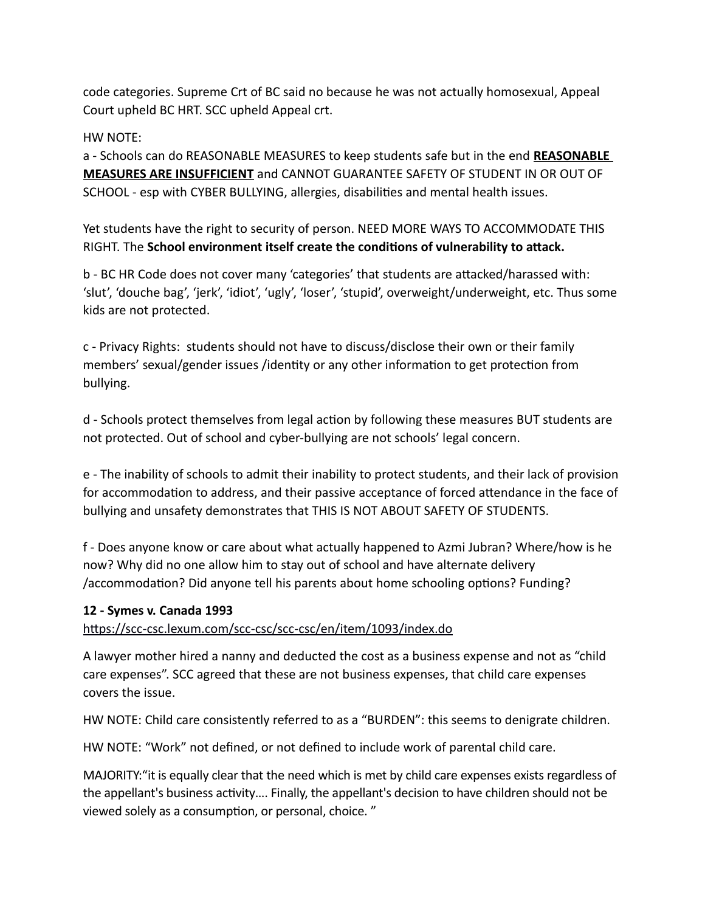code categories. Supreme Crt of BC said no because he was not actually homosexual, Appeal Court upheld BC HRT. SCC upheld Appeal crt.

#### HW NOTE:

a - Schools can do REASONABLE MEASURES to keep students safe but in the end **REASONABLE MEASURES ARE INSUFFICIENT** and CANNOT GUARANTEE SAFETY OF STUDENT IN OR OUT OF SCHOOL - esp with CYBER BULLYING, allergies, disabilities and mental health issues.

Yet students have the right to security of person. NEED MORE WAYS TO ACCOMMODATE THIS RIGHT. The **School environment itself create the conditions of vulnerability to attack.**

b - BC HR Code does not cover many 'categories' that students are attacked/harassed with: 'slut', 'douche bag', 'jerk', 'idiot', 'ugly', 'loser', 'stupid', overweight/underweight, etc. Thus some kids are not protected.

c - Privacy Rights: students should not have to discuss/disclose their own or their family members' sexual/gender issues /identity or any other information to get protection from bullying.

d - Schools protect themselves from legal action by following these measures BUT students are not protected. Out of school and cyber-bullying are not schools' legal concern.

e - The inability of schools to admit their inability to protect students, and their lack of provision for accommodation to address, and their passive acceptance of forced attendance in the face of bullying and unsafety demonstrates that THIS IS NOT ABOUT SAFETY OF STUDENTS.

f - Does anyone know or care about what actually happened to Azmi Jubran? Where/how is he now? Why did no one allow him to stay out of school and have alternate delivery /accommodation? Did anyone tell his parents about home schooling options? Funding?

#### **12 - Symes v. Canada 1993**

<https://scc-csc.lexum.com/scc-csc/scc-csc/en/item/1093/index.do>

A lawyer mother hired a nanny and deducted the cost as a business expense and not as "child care expenses". SCC agreed that these are not business expenses, that child care expenses covers the issue.

HW NOTE: Child care consistently referred to as a "BURDEN": this seems to denigrate children.

HW NOTE: "Work" not defined, or not defined to include work of parental child care.

MAJORITY:"it is equally clear that the need which is met by child care expenses exists regardless of the appellant's business activity…. Finally, the appellant's decision to have children should not be viewed solely as a consumption, or personal, choice. "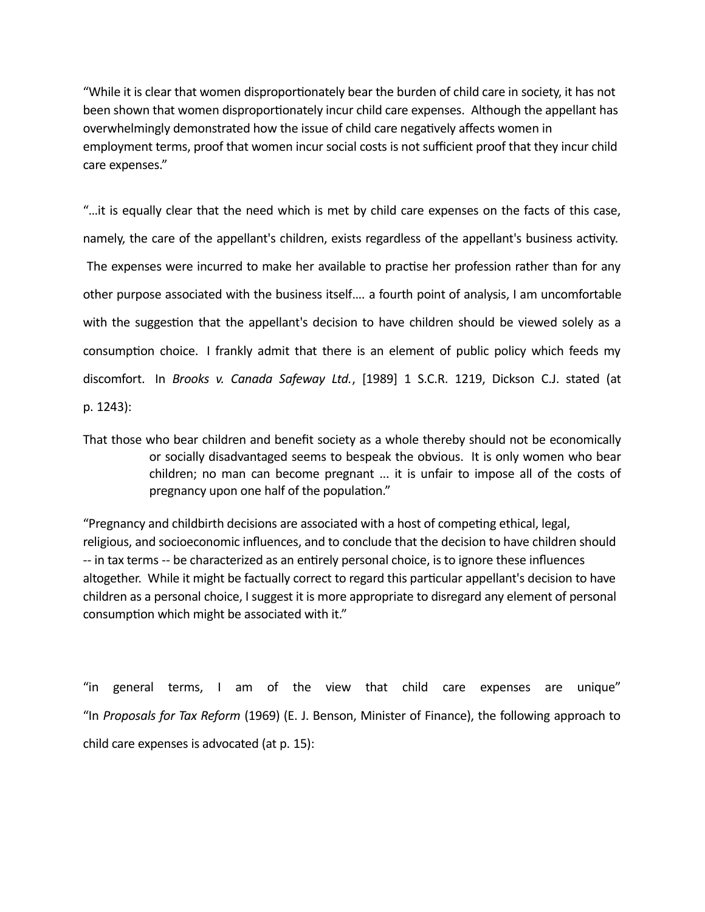"While it is clear that women disproportionately bear the burden of child care in society, it has not been shown that women disproportionately incur child care expenses. Although the appellant has overwhelmingly demonstrated how the issue of child care negatively affects women in employment terms, proof that women incur social costs is not sufficient proof that they incur child care expenses."

"…it is equally clear that the need which is met by child care expenses on the facts of this case, namely, the care of the appellant's children, exists regardless of the appellant's business activity. The expenses were incurred to make her available to practise her profession rather than for any other purpose associated with the business itself…. a fourth point of analysis, I am uncomfortable with the suggestion that the appellant's decision to have children should be viewed solely as a consumption choice. I frankly admit that there is an element of public policy which feeds my discomfort. In *Brooks v. Canada Safeway Ltd.*, [1989] 1 S.C.R. 1219, Dickson C.J. stated (at p. 1243):

That those who bear children and benefit society as a whole thereby should not be economically or socially disadvantaged seems to bespeak the obvious. It is only women who bear children; no man can become pregnant ... it is unfair to impose all of the costs of pregnancy upon one half of the population."

"Pregnancy and childbirth decisions are associated with a host of competing ethical, legal, religious, and socioeconomic influences, and to conclude that the decision to have children should -- in tax terms -- be characterized as an entirely personal choice, is to ignore these influences altogether. While it might be factually correct to regard this particular appellant's decision to have children as a personal choice, I suggest it is more appropriate to disregard any element of personal consumption which might be associated with it."

"in general terms, I am of the view that child care expenses are unique" "In *Proposals for Tax Reform* (1969) (E. J. Benson, Minister of Finance), the following approach to child care expenses is advocated (at p. 15):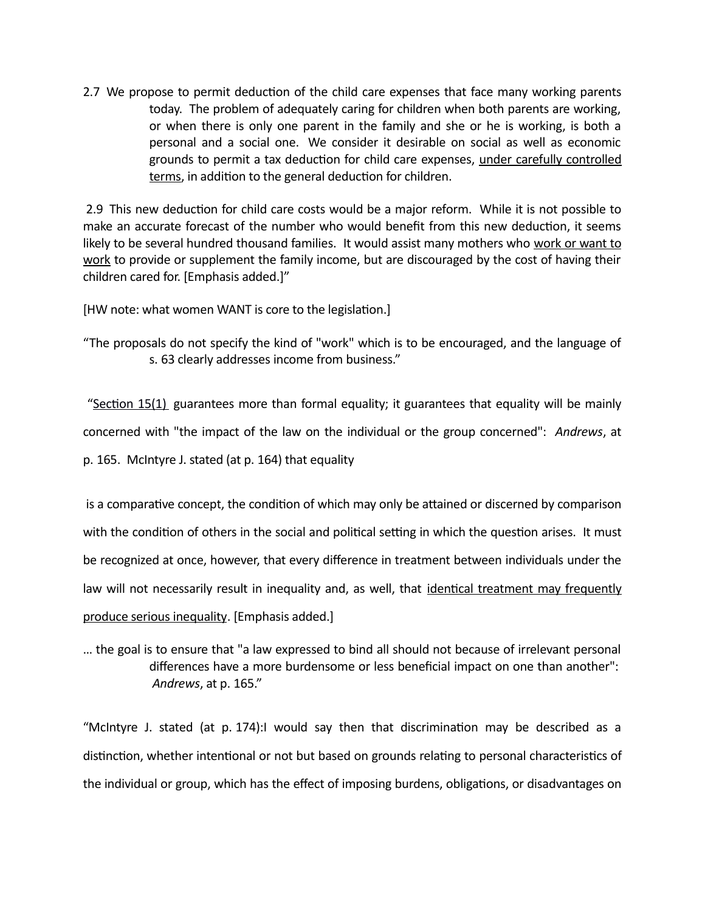2.7 We propose to permit deduction of the child care expenses that face many working parents today. The problem of adequately caring for children when both parents are working, or when there is only one parent in the family and she or he is working, is both a personal and a social one. We consider it desirable on social as well as economic grounds to permit a tax deduction for child care expenses, under carefully controlled terms, in addition to the general deduction for children.

2.9 This new deduction for child care costs would be a major reform. While it is not possible to make an accurate forecast of the number who would benefit from this new deduction, it seems likely to be several hundred thousand families. It would assist many mothers who work or want to work to provide or supplement the family income, but are discouraged by the cost of having their children cared for. [Emphasis added.]"

[HW note: what women WANT is core to the legislation.]

"The proposals do not specify the kind of "work" which is to be encouraged, and the language of s. 63 clearly addresses income from business."

"Section 15(1) guarantees more than formal equality; it guarantees that equality will be mainly concerned with "the impact of the law on the individual or the group concerned": *Andrews*, at p. 165. McIntyre J. stated (at p. 164) that equality

is a comparative concept, the condition of which may only be attained or discerned by comparison with the condition of others in the social and political setting in which the question arises. It must be recognized at once, however, that every difference in treatment between individuals under the law will not necessarily result in inequality and, as well, that identical treatment may frequently produce serious inequality. [Emphasis added.]

… the goal is to ensure that "a law expressed to bind all should not because of irrelevant personal differences have a more burdensome or less beneficial impact on one than another": *Andrews*, at p. 165."

"McIntyre J. stated (at p. 174):I would say then that discrimination may be described as a distinction, whether intentional or not but based on grounds relating to personal characteristics of the individual or group, which has the effect of imposing burdens, obligations, or disadvantages on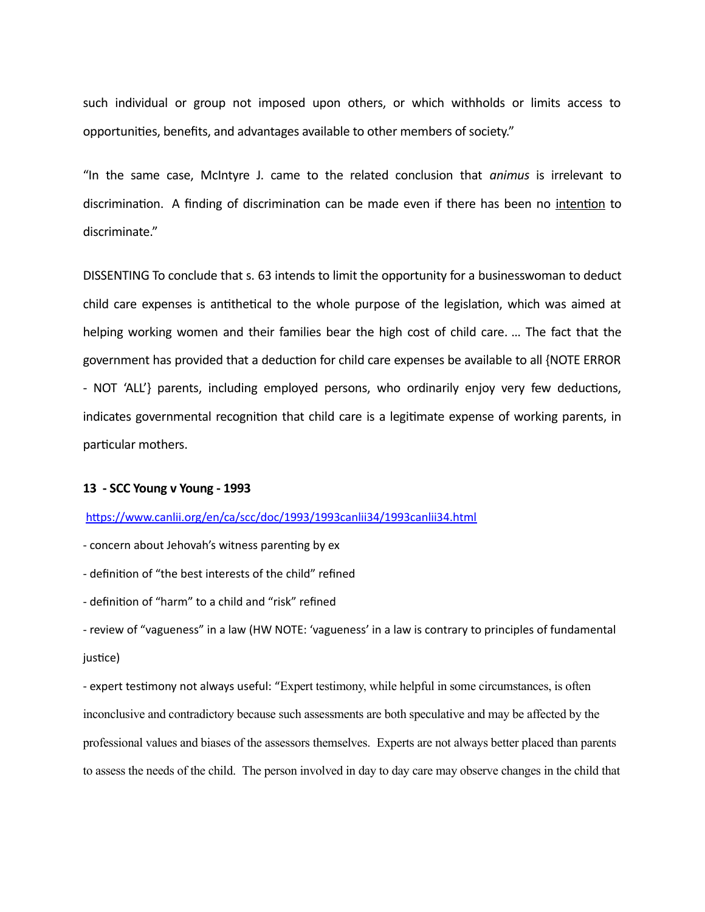such individual or group not imposed upon others, or which withholds or limits access to opportunities, benefits, and advantages available to other members of society."

"In the same case, McIntyre J. came to the related conclusion that *animus* is irrelevant to discrimination. A finding of discrimination can be made even if there has been no intention to discriminate."

DISSENTING To conclude that s. 63 intends to limit the opportunity for a businesswoman to deduct child care expenses is antithetical to the whole purpose of the legislation, which was aimed at helping working women and their families bear the high cost of child care. … The fact that the government has provided that a deduction for child care expenses be available to all {NOTE ERROR - NOT 'ALL'} parents, including employed persons, who ordinarily enjoy very few deductions, indicates governmental recognition that child care is a legitimate expense of working parents, in particular mothers.

#### **13 - SCC Young v Young - 1993**

<https://www.canlii.org/en/ca/scc/doc/1993/1993canlii34/1993canlii34.html>

- concern about Jehovah's witness parenting by ex

- definition of "the best interests of the child" refined

- definition of "harm" to a child and "risk" refined

- review of "vagueness" in a law (HW NOTE: 'vagueness' in a law is contrary to principles of fundamental justice)

- expert testimony not always useful: "Expert testimony, while helpful in some circumstances, is often inconclusive and contradictory because such assessments are both speculative and may be affected by the professional values and biases of the assessors themselves. Experts are not always better placed than parents to assess the needs of the child. The person involved in day to day care may observe changes in the child that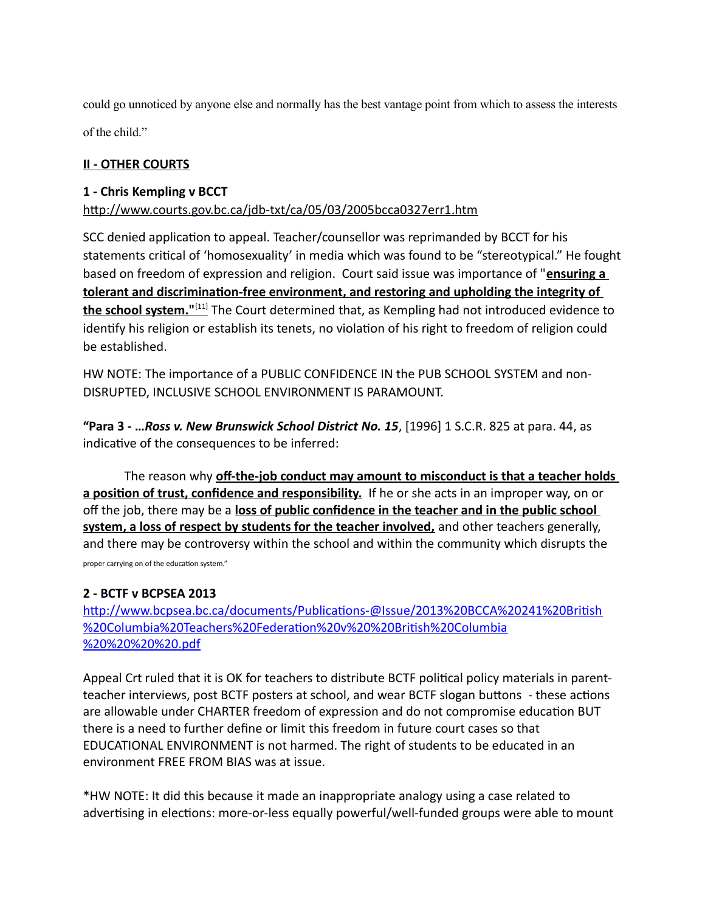could go unnoticed by anyone else and normally has the best vantage point from which to assess the interests

of the child."

#### **II - OTHER COURTS**

#### **1 - Chris Kempling v BCCT**

#### <http://www.courts.gov.bc.ca/jdb-txt/ca/05/03/2005bcca0327err1.htm>

SCC denied application to appeal. Teacher/counsellor was reprimanded by BCCT for his statements critical of 'homosexuality' in media which was found to be "stereotypical." He fought based on freedom of expression and religion. Court said issue was importance of "**ensuring a tolerant and discrimination-free environment, and restoring and upholding the integrity of the school system."**<sup>[\[11\]](http://en.wikipedia.org/wiki/Chris_Kempling#cite_note-bccadecision-11)</sup> The Court determined that, as Kempling had not introduced evidence to identify his religion or establish its tenets, no violation of his right to freedom of religion could be established.

HW NOTE: The importance of a PUBLIC CONFIDENCE IN the PUB SCHOOL SYSTEM and non-DISRUPTED, INCLUSIVE SCHOOL ENVIRONMENT IS PARAMOUNT.

**"Para 3 - …***Ross v. New Brunswick School District No. 15*, [1996] 1 S.C.R. 825 at para. 44, as indicative of the consequences to be inferred:

The reason why **off-the-job conduct may amount to misconduct is that a teacher holds a position of trust, confidence and responsibility.** If he or she acts in an improper way, on or off the job, there may be a **loss of public confidence in the teacher and in the public school system, a loss of respect by students for the teacher involved,** and other teachers generally, and there may be controversy within the school and within the community which disrupts the proper carrying on of the education system."

#### **2 - BCTF v BCPSEA 2013**

[http://www.bcpsea.bc.ca/documents/Publications-@Issue/2013%20BCCA%20241%20British](http://www.bcpsea.bc.ca/documents/Publications-@Issue/2013%20BCCA%20241%20British%20Columbia%20Teachers%20Federation%20v%20%20British%20Columbia%20%20%20%20.pdf) [%20Columbia%20Teachers%20Federation%20v%20%20British%20Columbia](http://www.bcpsea.bc.ca/documents/Publications-@Issue/2013%20BCCA%20241%20British%20Columbia%20Teachers%20Federation%20v%20%20British%20Columbia%20%20%20%20.pdf) [%20%20%20%20.pdf](http://www.bcpsea.bc.ca/documents/Publications-@Issue/2013%20BCCA%20241%20British%20Columbia%20Teachers%20Federation%20v%20%20British%20Columbia%20%20%20%20.pdf)

Appeal Crt ruled that it is OK for teachers to distribute BCTF political policy materials in parentteacher interviews, post BCTF posters at school, and wear BCTF slogan buttons - these actions are allowable under CHARTER freedom of expression and do not compromise education BUT there is a need to further define or limit this freedom in future court cases so that EDUCATIONAL ENVIRONMENT is not harmed. The right of students to be educated in an environment FREE FROM BIAS was at issue.

\*HW NOTE: It did this because it made an inappropriate analogy using a case related to advertising in elections: more-or-less equally powerful/well-funded groups were able to mount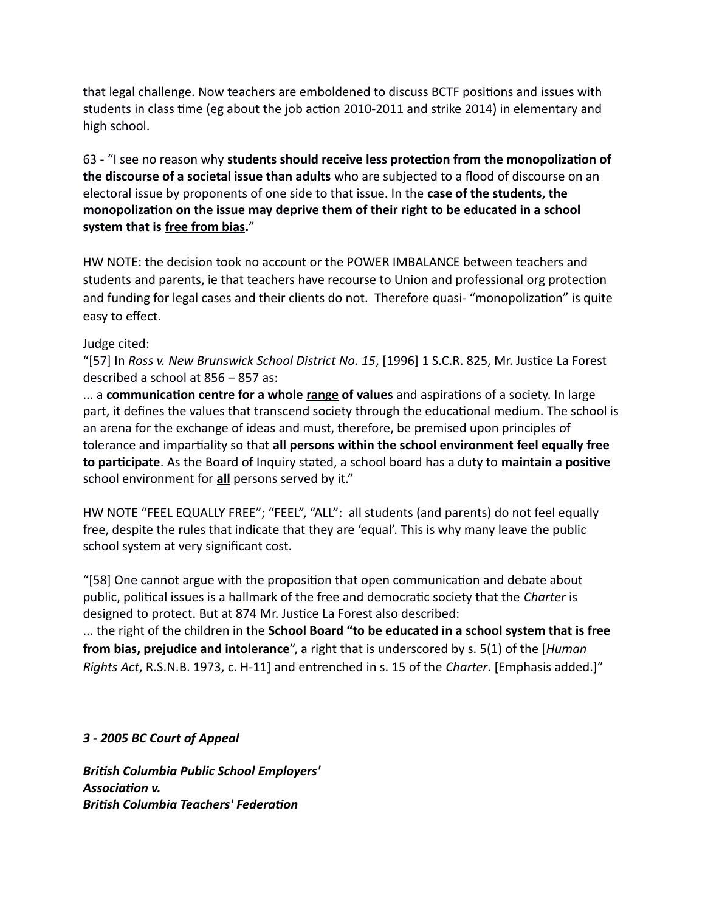that legal challenge. Now teachers are emboldened to discuss BCTF positions and issues with students in class time (eg about the job action 2010-2011 and strike 2014) in elementary and high school.

63 - "I see no reason why **students should receive less protection from the monopolization of the discourse of a societal issue than adults** who are subjected to a flood of discourse on an electoral issue by proponents of one side to that issue. In the **case of the students, the monopolization on the issue may deprive them of their right to be educated in a school system that is free from bias.**"

HW NOTE: the decision took no account or the POWER IMBALANCE between teachers and students and parents, ie that teachers have recourse to Union and professional org protection and funding for legal cases and their clients do not. Therefore quasi- "monopolization" is quite easy to effect.

Judge cited:

"[57] In *Ross v. New Brunswick School District No. 15*, [1996] 1 S.C.R. 825, Mr. Justice La Forest described a school at 856 – 857 as:

... a **communication centre for a whole range of values** and aspirations of a society. In large part, it defines the values that transcend society through the educational medium. The school is an arena for the exchange of ideas and must, therefore, be premised upon principles of tolerance and impartiality so that **all persons within the school environment feel equally free to participate**. As the Board of Inquiry stated, a school board has a duty to **maintain a positive** school environment for **all** persons served by it."

HW NOTE "FEEL EQUALLY FREE"; "FEEL", "ALL": all students (and parents) do not feel equally free, despite the rules that indicate that they are 'equal'. This is why many leave the public school system at very significant cost.

"[58] One cannot argue with the proposition that open communication and debate about public, political issues is a hallmark of the free and democratic society that the *Charter* is designed to protect. But at 874 Mr. Justice La Forest also described:

... the right of the children in the **School Board "to be educated in a school system that is free from bias, prejudice and intolerance**", a right that is underscored by s. 5(1) of the [*Human Rights Act*, R.S.N.B. 1973, c. H-11] and entrenched in s. 15 of the *Charter*. [Emphasis added.]"

*3 - 2005 BC Court of Appeal*

*British Columbia Public School Employers' Association v. British Columbia Teachers' Federation*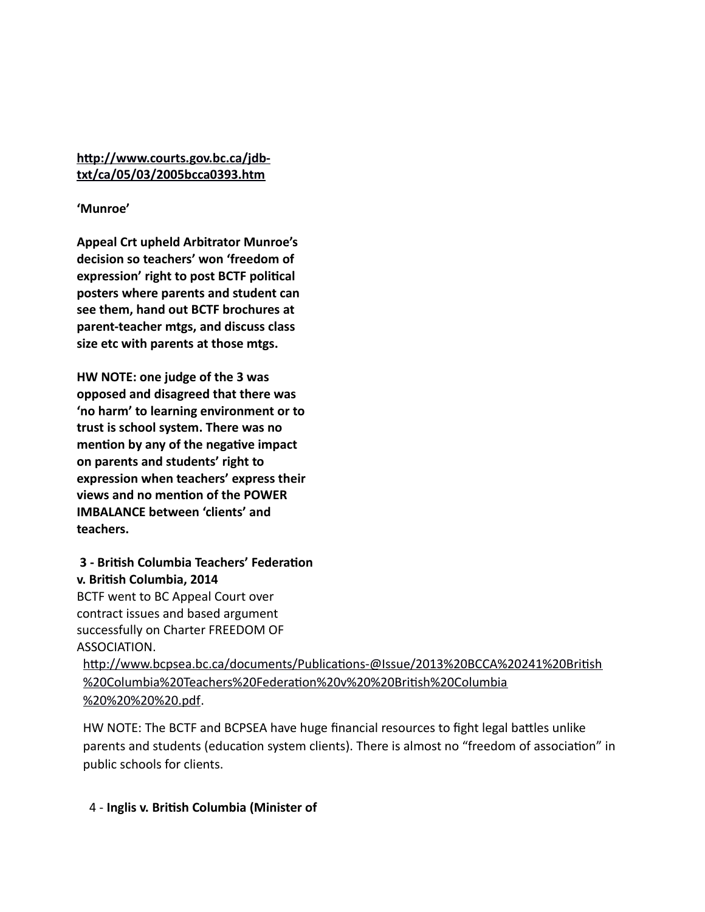#### **[http://www.courts.gov.bc.ca/jdb](http://www.courts.gov.bc.ca/jdb-txt/ca/05/03/2005bcca0393.htm)[txt/ca/05/03/2005bcca0393.htm](http://www.courts.gov.bc.ca/jdb-txt/ca/05/03/2005bcca0393.htm)**

#### **'Munroe'**

**Appeal Crt upheld Arbitrator Munroe's decision so teachers' won 'freedom of expression' right to post BCTF political posters where parents and student can see them, hand out BCTF brochures at parent-teacher mtgs, and discuss class size etc with parents at those mtgs.**

**HW NOTE: one judge of the 3 was opposed and disagreed that there was 'no harm' to learning environment or to trust is school system. There was no mention by any of the negative impact on parents and students' right to expression when teachers' express their views and no mention of the POWER IMBALANCE between 'clients' and teachers.**

### **3 - British Columbia Teachers' Federation v. British Columbia, 2014**

BCTF went to BC Appeal Court over contract issues and based argument successfully on Charter FREEDOM OF ASSOCIATION.

[http://www.bcpsea.bc.ca/documents/Publications-@Issue/2013%20BCCA%20241%20British](http://www.bcpsea.bc.ca/documents/Publications-@Issue/2013%20BCCA%20241%20British%20Columbia%20Teachers%20Federation%20v%20%20British%20Columbia%20%20%20%20.pdf) [%20Columbia%20Teachers%20Federation%20v%20%20British%20Columbia](http://www.bcpsea.bc.ca/documents/Publications-@Issue/2013%20BCCA%20241%20British%20Columbia%20Teachers%20Federation%20v%20%20British%20Columbia%20%20%20%20.pdf) [%20%20%20%20.pdf.](http://www.bcpsea.bc.ca/documents/Publications-@Issue/2013%20BCCA%20241%20British%20Columbia%20Teachers%20Federation%20v%20%20British%20Columbia%20%20%20%20.pdf)

HW NOTE: The BCTF and BCPSEA have huge financial resources to fight legal battles unlike parents and students (education system clients). There is almost no "freedom of association" in public schools for clients.

#### 4 - **Inglis v. British Columbia (Minister of**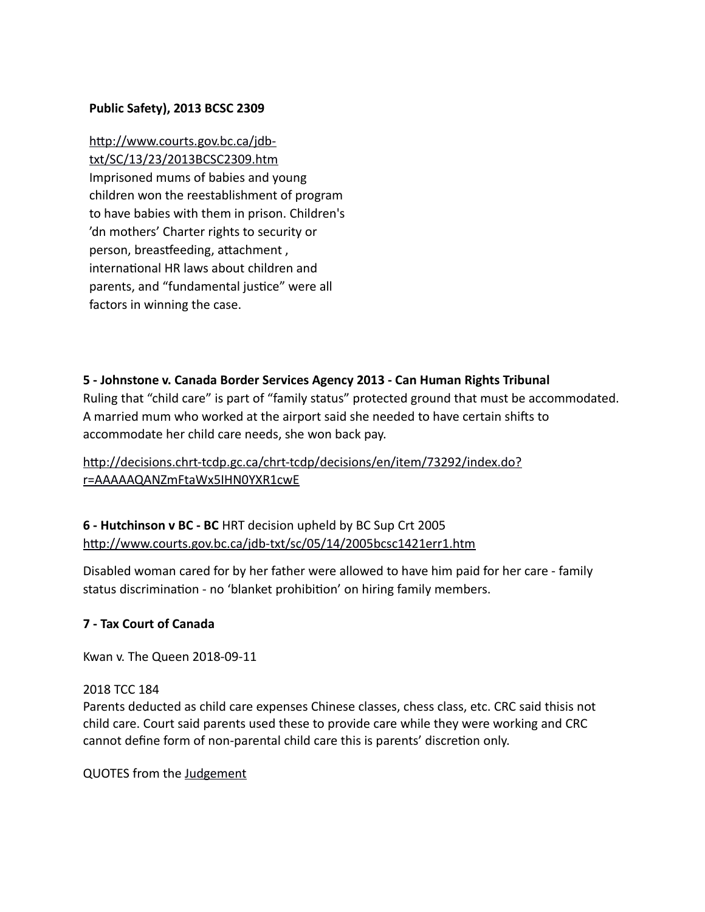#### **Public Safety), 2013 BCSC 2309**

[http://www.courts.gov.bc.ca/jdb](http://www.courts.gov.bc.ca/jdb-txt/SC/13/23/2013BCSC2309.htm)[txt/SC/13/23/2013BCSC2309.htm](http://www.courts.gov.bc.ca/jdb-txt/SC/13/23/2013BCSC2309.htm) Imprisoned mums of babies and young children won the reestablishment of program to have babies with them in prison. Children's 'dn mothers' Charter rights to security or person, breastfeeding, attachment , international HR laws about children and parents, and "fundamental justice" were all factors in winning the case.

#### **5 - Johnstone v. Canada Border Services Agency 2013 - Can Human Rights Tribunal**

Ruling that "child care" is part of "family status" protected ground that must be accommodated. A married mum who worked at the airport said she needed to have certain shifts to accommodate her child care needs, she won back pay.

### [http://decisions.chrt-tcdp.gc.ca/chrt-tcdp/decisions/en/item/73292/index.do?](http://decisions.chrt-tcdp.gc.ca/chrt-tcdp/decisions/en/item/73292/index.do?r=AAAAAQANZmFtaWx5IHN0YXR1cwE) [r=AAAAAQANZmFtaWx5IHN0YXR1cwE](http://decisions.chrt-tcdp.gc.ca/chrt-tcdp/decisions/en/item/73292/index.do?r=AAAAAQANZmFtaWx5IHN0YXR1cwE)

### **6 - Hutchinson v BC - BC** HRT decision upheld by BC Sup Crt 2005 <http://www.courts.gov.bc.ca/jdb-txt/sc/05/14/2005bcsc1421err1.htm>

Disabled woman cared for by her father were allowed to have him paid for her care - family status discrimination - no 'blanket prohibition' on hiring family members.

#### **7 - Tax Court of Canada**

Kwan v. The Queen 2018-09-11

#### 2018 TCC 184

Parents deducted as child care expenses Chinese classes, chess class, etc. CRC said thisis not child care. Court said parents used these to provide care while they were working and CRC cannot define form of non-parental child care this is parents' discretion only.

QUOTES from the [Judgement](https://decision.tcc-cci.gc.ca/tcc-cci/decisions/en/item/344258/index.do)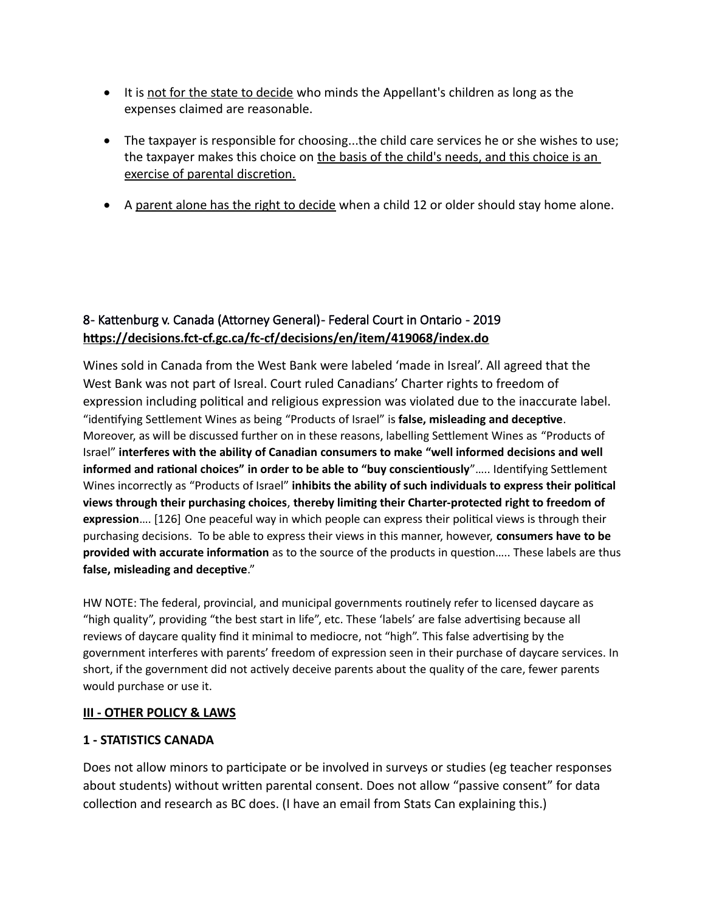- It is not for the state to decide who minds the Appellant's children as long as the expenses claimed are reasonable.
- The taxpayer is responsible for choosing...the child care services he or she wishes to use; the taxpayer makes this choice on the basis of the child's needs, and this choice is an exercise of parental discretion.
- A parent alone has the right to decide when a child 12 or older should stay home alone.

# 8 - Kattenburg v. Canada (Attorney General) - Federal Court in Ontario - 2019 **https://decisions.fct-cf.gc.ca/fc-cf/decisions/en/item/419068/index.do**

Wines sold in Canada from the West Bank were labeled 'made in Isreal'. All agreed that the West Bank was not part of Isreal. Court ruled Canadians' Charter rights to freedom of expression including political and religious expression was violated due to the inaccurate label. "identifying Settlement Wines as being "Products of Israel" is **false, misleading and deceptive**. Moreover, as will be discussed further on in these reasons, labelling Settlement Wines as "Products of Israel" **interferes with the ability of Canadian consumers to make "well informed decisions and well informed and rational choices" in order to be able to "buy conscientiously**"….. Identifying Settlement Wines incorrectly as "Products of Israel" **inhibits the ability of such individuals to express their political views through their purchasing choices**, **thereby limiting their Charter-protected right to freedom of expression**…. [126] One peaceful way in which people can express their political views is through their purchasing decisions. To be able to express their views in this manner, however, **consumers have to be provided with accurate information** as to the source of the products in question….. These labels are thus **false, misleading and deceptive**."

HW NOTE: The federal, provincial, and municipal governments routinely refer to licensed daycare as "high quality", providing "the best start in life", etc. These 'labels' are false advertising because all reviews of daycare quality find it minimal to mediocre, not "high". This false advertising by the government interferes with parents' freedom of expression seen in their purchase of daycare services. In short, if the government did not actively deceive parents about the quality of the care, fewer parents would purchase or use it.

#### **III - OTHER POLICY & LAWS**

#### **1 - STATISTICS CANADA**

Does not allow minors to participate or be involved in surveys or studies (eg teacher responses about students) without written parental consent. Does not allow "passive consent" for data collection and research as BC does. (I have an email from Stats Can explaining this.)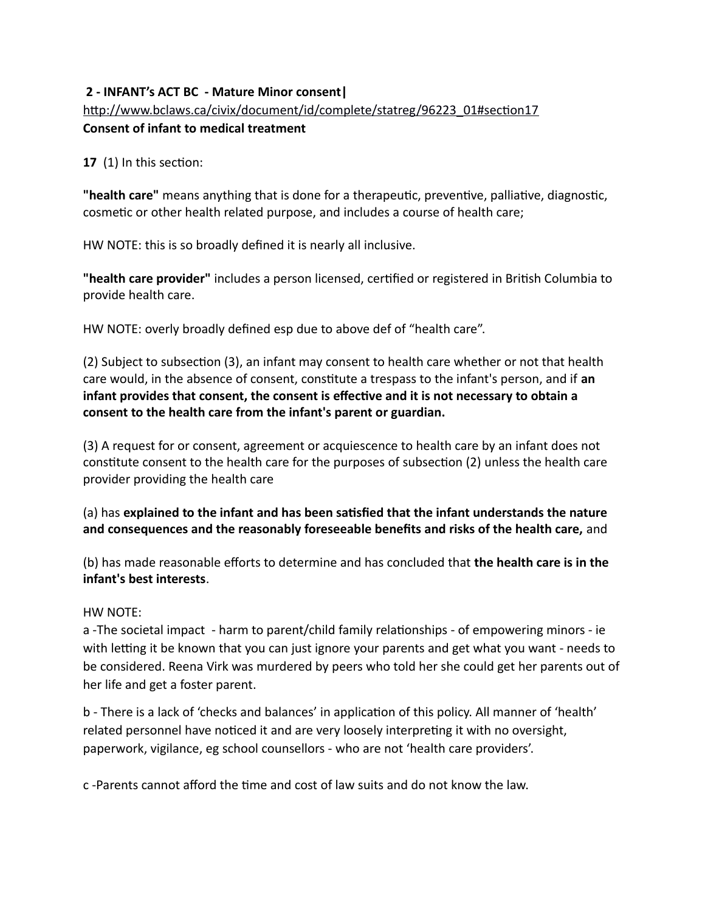#### **2 - INFANT's ACT BC - Mature Minor consent|** [http://www.bclaws.ca/civix/document/id/complete/statreg/96223\\_01#section17](http://www.bclaws.ca/civix/document/id/complete/statreg/96223_01#section17) **Consent of infant to medical treatment**

**17** (1) In this section:

**"health care"** means anything that is done for a therapeutic, preventive, palliative, diagnostic, cosmetic or other health related purpose, and includes a course of health care;

HW NOTE: this is so broadly defined it is nearly all inclusive.

**"health care provider"** includes a person licensed, certified or registered in British Columbia to provide health care.

HW NOTE: overly broadly defined esp due to above def of "health care".

(2) Subject to subsection (3), an infant may consent to health care whether or not that health care would, in the absence of consent, constitute a trespass to the infant's person, and if **an infant provides that consent, the consent is effective and it is not necessary to obtain a consent to the health care from the infant's parent or guardian.**

(3) A request for or consent, agreement or acquiescence to health care by an infant does not constitute consent to the health care for the purposes of subsection (2) unless the health care provider providing the health care

(a) has **explained to the infant and has been satisfied that the infant understands the nature and consequences and the reasonably foreseeable benefits and risks of the health care,** and

(b) has made reasonable efforts to determine and has concluded that **the health care is in the infant's best interests**.

#### HW NOTE:

a -The societal impact - harm to parent/child family relationships - of empowering minors - ie with letting it be known that you can just ignore your parents and get what you want - needs to be considered. Reena Virk was murdered by peers who told her she could get her parents out of her life and get a foster parent.

b - There is a lack of 'checks and balances' in application of this policy. All manner of 'health' related personnel have noticed it and are very loosely interpreting it with no oversight, paperwork, vigilance, eg school counsellors - who are not 'health care providers'.

c -Parents cannot afford the time and cost of law suits and do not know the law.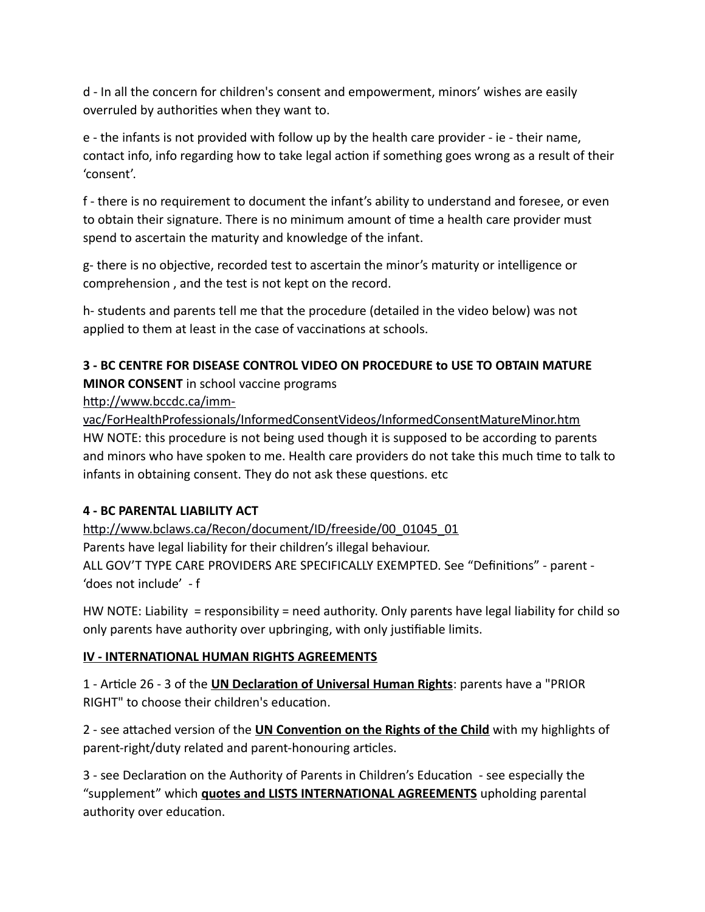d - In all the concern for children's consent and empowerment, minors' wishes are easily overruled by authorities when they want to.

e - the infants is not provided with follow up by the health care provider - ie - their name, contact info, info regarding how to take legal action if something goes wrong as a result of their 'consent'.

f - there is no requirement to document the infant's ability to understand and foresee, or even to obtain their signature. There is no minimum amount of time a health care provider must spend to ascertain the maturity and knowledge of the infant.

g- there is no objective, recorded test to ascertain the minor's maturity or intelligence or comprehension , and the test is not kept on the record.

h- students and parents tell me that the procedure (detailed in the video below) was not applied to them at least in the case of vaccinations at schools.

#### **3 - BC CENTRE FOR DISEASE CONTROL VIDEO ON PROCEDURE to USE TO OBTAIN MATURE MINOR CONSENT** in school vaccine programs

### [http://www.bccdc.ca/imm-](http://www.bccdc.ca/imm-vac/ForHealthProfessionals/InformedConsentVideos/InformedConsentMatureMinor.htm)

[vac/ForHealthProfessionals/InformedConsentVideos/InformedConsentMatureMinor.htm](http://www.bccdc.ca/imm-vac/ForHealthProfessionals/InformedConsentVideos/InformedConsentMatureMinor.htm) HW NOTE: this procedure is not being used though it is supposed to be according to parents and minors who have spoken to me. Health care providers do not take this much time to talk to infants in obtaining consent. They do not ask these questions. etc

#### **4 - BC PARENTAL LIABILITY ACT**

[http://www.bclaws.ca/Recon/document/ID/freeside/00\\_01045\\_01](http://www.bclaws.ca/Recon/document/ID/freeside/00_01045_01) Parents have legal liability for their children's illegal behaviour. ALL GOV'T TYPE CARE PROVIDERS ARE SPECIFICALLY EXEMPTED. See "Definitions" - parent - 'does not include' - f

HW NOTE: Liability = responsibility = need authority. Only parents have legal liability for child so only parents have authority over upbringing, with only justifiable limits.

# **IV - INTERNATIONAL HUMAN RIGHTS AGREEMENTS**

1 - Article 26 - 3 of the **UN Declaration of Universal Human Rights**: parents have a "PRIOR RIGHT" to choose their children's education.

2 - see attached version of the **UN Convention on the Rights of the Child** with my highlights of parent-right/duty related and parent-honouring articles.

3 - see Declaration on the Authority of Parents in Children's Education - see especially the "supplement" which **quotes and LISTS INTERNATIONAL AGREEMENTS** upholding parental authority over education.